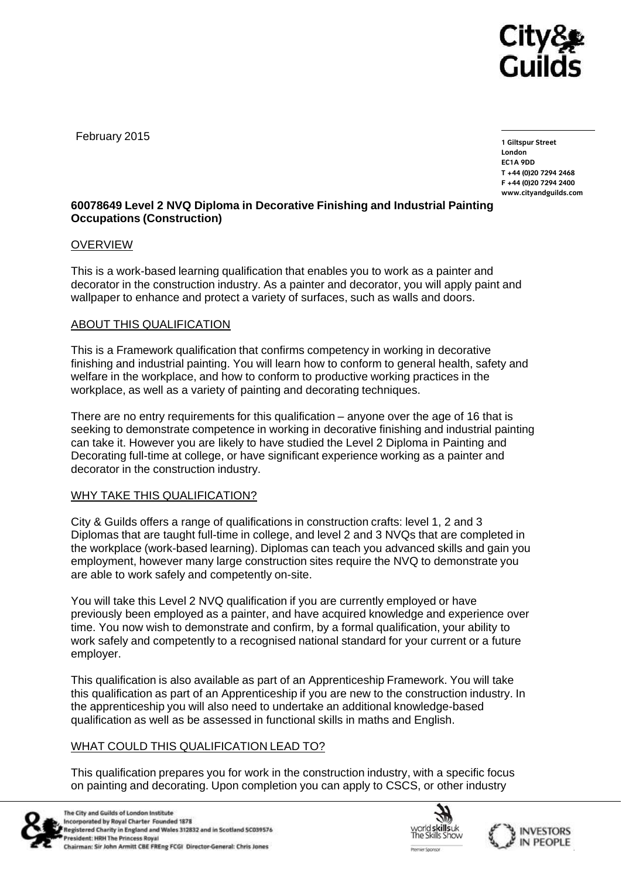

February 2015

**1 Giltspur Street EC1A 9DD** T +44 (0) 20 7 294 2468 **T +44 (0)20 7294 246[8](http://www.cityandguilds.com/)** www.cityandouilde.com **[www.cityandguilds.com](http://www.cityandguilds.com/)**

## **60078649 Level 2 NVQ Diploma in Decorative Finishing and Industrial Painting Occupations (Construction)**

### OVERVIEW

This is a work-based learning qualification that enables you to work as a painter and decorator in the construction industry. As a painter and decorator, you will apply paint and wallpaper to enhance and protect a variety of surfaces, such as walls and doors.

## ABOUT THIS QUALIFICATION

This is a Framework qualification that confirms competency in working in decorative finishing and industrial painting. You will learn how to conform to general health, safety and welfare in the workplace, and how to conform to productive working practices in the workplace, as well as a variety of painting and decorating techniques.

There are no entry requirements for this qualification – anyone over the age of 16 that is seeking to demonstrate competence in working in decorative finishing and industrial painting can take it. However you are likely to have studied the Level 2 Diploma in Painting and Decorating full-time at college, or have significant experience working as a painter and decorator in the construction industry.

#### WHY TAKE THIS QUALIFICATION?

City & Guilds offers a range of qualifications in construction crafts: level 1, 2 and 3 Diplomas that are taught full-time in college, and level 2 and 3 NVQs that are completed in the workplace (work-based learning). Diplomas can teach you advanced skills and gain you employment, however many large construction sites require the NVQ to demonstrate you are able to work safely and competently on-site.

You will take this Level 2 NVQ qualification if you are currently employed or have previously been employed as a painter, and have acquired knowledge and experience over time. You now wish to demonstrate and confirm, by a formal qualification, your ability to work safely and competently to a recognised national standard for your current or a future employer.

This qualification is also available as part of an Apprenticeship Framework. You will take this qualification as part of an Apprenticeship if you are new to the construction industry. In the apprenticeship you will also need to undertake an additional knowledge-based qualification as well as be assessed in functional skills in maths and English.

# WHAT COULD THIS QUALIFICATION LEAD TO?

This qualification prepares you for work in the construction industry, with a specific focus on painting and decorating. Upon completion you can apply to CSCS, or other industry



The City and Guilds of London Institute Incorporated by Royal Charter Founded 1878 Registered Charity in England and Wales 312832 and in Scotland SC039576 President: HRH The Princess Royal Chairman: Sir John Armitt CBE FREng FCGI Director-General: Chris Jones